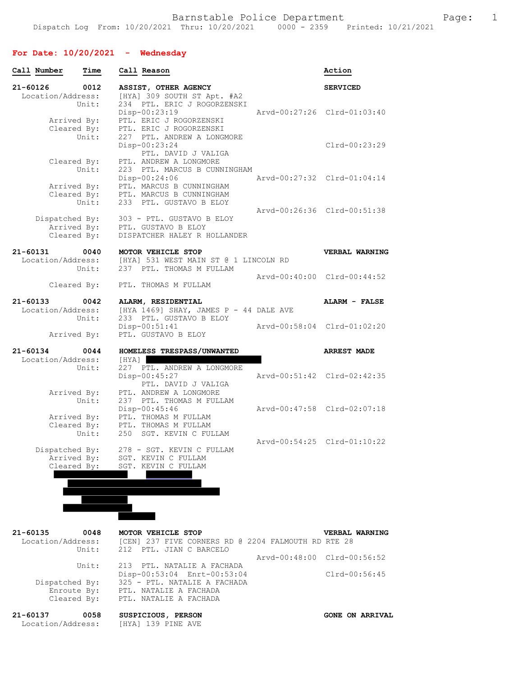## **For Date: 10/20/2021 - Wednesday**

| Call Number                                  | Time          | Call Reason                                                                                                                            | Action                 |
|----------------------------------------------|---------------|----------------------------------------------------------------------------------------------------------------------------------------|------------------------|
| 21-60126<br>Location/Address:                | 0012<br>Unit: | ASSIST, OTHER AGENCY<br>[HYA] 309 SOUTH ST Apt. #A2<br>234 PTL. ERIC J ROGORZENSKI                                                     | <b>SERVICED</b>        |
| Arrived By:<br>Cleared By:                   | Unit:         | Disp-00:23:19<br>Arvd-00:27:26 Clrd-01:03:40<br>PTL. ERIC J ROGORZENSKI<br>PTL. ERIC J ROGORZENSKI<br>227 PTL. ANDREW A LONGMORE       |                        |
| Cleared By:                                  |               | Disp-00:23:24<br>PTL. DAVID J VALIGA<br>PTL. ANDREW A LONGMORE                                                                         | Clrd-00:23:29          |
| Arrived By:<br>Cleared By:                   | Unit:         | 223 PTL. MARCUS B CUNNINGHAM<br>Arvd-00:27:32 Clrd-01:04:14<br>$Disp-00:24:06$<br>PTL. MARCUS B CUNNINGHAM<br>PTL. MARCUS B CUNNINGHAM |                        |
| Dispatched By:                               | Unit:         | 233 PTL. GUSTAVO B ELOY<br>Arvd-00:26:36 Clrd-00:51:38<br>303 - PTL. GUSTAVO B ELOY                                                    |                        |
| Arrived By:<br>Cleared By:                   |               | PTL. GUSTAVO B ELOY<br>DISPATCHER HALEY R HOLLANDER                                                                                    |                        |
| 21-60131<br>Location/Address:                | 0040<br>Unit: | MOTOR VEHICLE STOP<br>[HYA] 531 WEST MAIN ST @ 1 LINCOLN RD<br>237 PTL. THOMAS M FULLAM                                                | <b>VERBAL WARNING</b>  |
|                                              | Cleared By:   | Arvd-00:40:00 Clrd-00:44:52<br>PTL. THOMAS M FULLAM                                                                                    |                        |
| $21 - 60133$<br>Location/Address:            | 0042<br>Unit: | ALARM, RESIDENTIAL<br>[HYA 1469] SHAY, JAMES P - 44 DALE AVE<br>233 PTL. GUSTAVO B ELOY                                                | <b>ALARM - FALSE</b>   |
| Arrived By:                                  |               | $Disp-00:51:41$<br>Arvd-00:58:04 Clrd-01:02:20<br>PTL. GUSTAVO B ELOY                                                                  |                        |
| $21 - 60134$                                 | 0044          | HOMELESS TRESPASS/UNWANTED                                                                                                             | <b>ARREST MADE</b>     |
| Location/Address:                            | Unit:         | [HYA]  <br>227 PTL. ANDREW A LONGMORE<br>Disp-00:45:27<br>Arvd-00:51:42 Clrd-02:42:35<br>PTL. DAVID J VALIGA                           |                        |
| Arrived By:                                  | Unit:         | PTL. ANDREW A LONGMORE<br>237 PTL. THOMAS M FULLAM<br>Disp-00:45:46<br>Arvd-00:47:58 Clrd-02:07:18                                     |                        |
| Cleared By:                                  | Unit:         | Arrived By: PTL. THOMAS M FULLAM<br>PTL. THOMAS M FULLAM<br>250 SGT. KEVIN C FULLAM                                                    |                        |
| Dispatched By:<br>Arrived By:<br>Cleared By: |               | Arvd-00:54:25 Clrd-01:10:22<br>278 - SGT. KEVIN C FULLAM<br>SGT. KEVIN C FULLAM<br>SGT. KEVIN C FULLAM                                 |                        |
|                                              |               |                                                                                                                                        |                        |
|                                              |               |                                                                                                                                        |                        |
| $21 - 60135$<br>Location/Address:            | 0048<br>Unit: | MOTOR VEHICLE STOP<br>[CEN] 237 FIVE CORNERS RD @ 2204 FALMOUTH RD RTE 28<br>212 PTL. JIAN C BARCELO                                   | VERBAL WARNING         |
|                                              | Unit:         | Arvd-00:48:00 Clrd-00:56:52<br>213 PTL. NATALIE A FACHADA                                                                              |                        |
| Dispatched By:<br>Enroute By:<br>Cleared By: |               | Disp-00:53:04 Enrt-00:53:04<br>325 - PTL. NATALIE A FACHADA<br>PTL. NATALIE A FACHADA<br>PTL. NATALIE A FACHADA                        | Clrd-00:56:45          |
| 21-60137<br>Location/Address:                | 0058          | SUSPICIOUS, PERSON<br>[HYA] 139 PINE AVE                                                                                               | <b>GONE ON ARRIVAL</b> |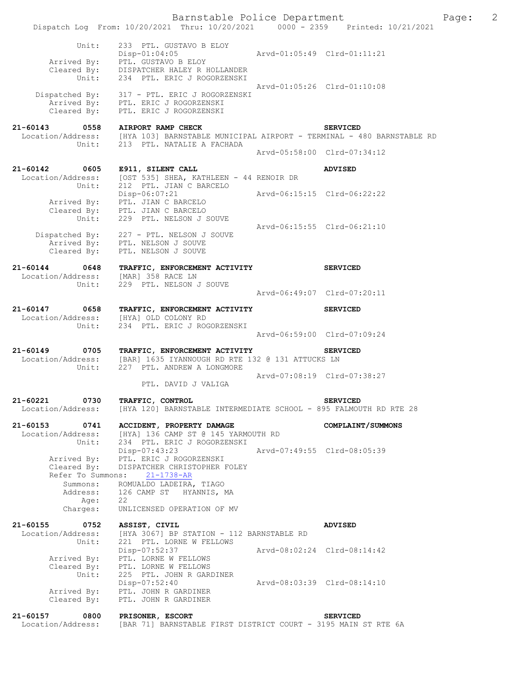|                                                               | Barnstable Police Department<br>Dispatch Log From: 10/20/2021 Thru: 10/20/2021 0000 - 2359 Printed: 10/21/2021                                                                    |                             |                                                | Page: | $\overline{c}$ |
|---------------------------------------------------------------|-----------------------------------------------------------------------------------------------------------------------------------------------------------------------------------|-----------------------------|------------------------------------------------|-------|----------------|
| Unit:                                                         | 233 PTL. GUSTAVO B ELOY<br>$Disp-01:04:05$<br>Arrived By: PTL. GUSTAVO B ELOY<br>Cleared By: DISPATCHER HALEY R HOLLANDER<br>Unit: 234 PTL. ERIC J ROGORZENSKI                    |                             |                                                |       |                |
|                                                               | Dispatched By: 317 - PTL. ERIC J ROGORZENSKI<br>Arrived By: PTL. ERIC J ROGORZENSKI<br>Cleared By: PTL. ERIC J ROGORZENSKI                                                        | Arvd-01:05:26 Clrd-01:10:08 |                                                |       |                |
| 21-60143 0558 AIRPORT RAMP CHECK                              | Location/Address: [HYA 103] BARNSTABLE MUNICIPAL AIRPORT - TERMINAL - 480 BARNSTABLE RD<br>Unit: 213 PTL. NATALIE A FACHADA                                                       |                             | <b>SERVICED</b><br>Arvd-05:58:00 Clrd-07:34:12 |       |                |
| 21-60142 0605                                                 | E911, SILENT CALL                                                                                                                                                                 |                             | <b>ADVISED</b>                                 |       |                |
|                                                               | Location/Address: [OST 535] SHEA, KATHLEEN - 44 RENOIR DR<br>Unit: 212 PTL. JIAN C BARCELO<br>Disp-06:07:21<br>Arrived By: PTL. JIAN C BARCELO<br>Cleared By: PTL. JIAN C BARCELO | Arvd-06:15:15 Clrd-06:22:22 |                                                |       |                |
| Unit:                                                         | 229 PTL. NELSON J SOUVE                                                                                                                                                           | Arvd-06:15:55 Clrd-06:21:10 |                                                |       |                |
|                                                               | Dispatched By: 227 - PTL. NELSON J SOUVE<br>Arrived By: PTL. NELSON J SOUVE<br>Cleared By: PTL. NELSON J SOUVE                                                                    |                             |                                                |       |                |
| 21-60144 0648<br>Location/Address: [MAR] 358 RACE LN<br>Unit: | TRAFFIC, ENFORCEMENT ACTIVITY<br>229 PTL. NELSON J SOUVE                                                                                                                          |                             | <b>SERVICED</b>                                |       |                |
|                                                               |                                                                                                                                                                                   | Arvd-06:49:07 Clrd-07:20:11 |                                                |       |                |
| 21-60147 0658<br>Unit:                                        | TRAFFIC, ENFORCEMENT ACTIVITY<br>Location/Address: [HYA] OLD COLONY RD<br>234 PTL. ERIC J ROGORZENSKI                                                                             |                             | <b>SERVICED</b>                                |       |                |
|                                                               |                                                                                                                                                                                   | Arvd-06:59:00 Clrd-07:09:24 |                                                |       |                |
| Unit:                                                         | 21-60149 0705 TRAFFIC, ENFORCEMENT ACTIVITY<br>Location/Address: [BAR] 1635 IYANNOUGH RD RTE 132 @ 131 ATTUCKS LN<br>227 PTL. ANDREW A LONGMORE                                   |                             | <b>SERVICED</b>                                |       |                |
|                                                               | PTL. DAVID J VALIGA                                                                                                                                                               | Arvd-07:08:19 Clrd-07:38:27 |                                                |       |                |
| 0730<br>21-60221<br>Location/Address:                         | TRAFFIC, CONTROL<br>[HYA 120] BARNSTABLE INTERMEDIATE SCHOOL - 895 FALMOUTH RD RTE 28                                                                                             |                             | <b>SERVICED</b>                                |       |                |
| 21-60153<br>0741<br>Location/Address:<br>Unit:                | ACCIDENT, PROPERTY DAMAGE<br>[HYA] 136 CAMP ST @ 145 YARMOUTH RD<br>234 PTL. ERIC J ROGORZENSKI                                                                                   |                             | COMPLAINT/SUMMONS                              |       |                |
| Arrived By:<br>Cleared By:<br>Refer To Summons:               | Disp-07:43:23<br>PTL. ERIC J ROGORZENSKI<br>DISPATCHER CHRISTOPHER FOLEY<br>$21 - 1738 - AR$                                                                                      | Arvd-07:49:55 Clrd-08:05:39 |                                                |       |                |
| Summons:<br>Address:<br>Age:                                  | ROMUALDO LADEIRA, TIAGO<br>126 CAMP ST HYANNIS, MA<br>22                                                                                                                          |                             |                                                |       |                |
| Charges:                                                      | UNLICENSED OPERATION OF MV                                                                                                                                                        |                             |                                                |       |                |
| 21-60155<br>0752<br>Location/Address:<br>Unit:                | ASSIST, CIVIL<br>[HYA 3067] BP STATION - 112 BARNSTABLE RD<br>221 PTL. LORNE W FELLOWS                                                                                            |                             | ADVISED                                        |       |                |
| Arrived By:<br>Cleared By:                                    | Disp-07:52:37<br>PTL. LORNE W FELLOWS<br>PTL. LORNE W FELLOWS                                                                                                                     | Arvd-08:02:24 Clrd-08:14:42 |                                                |       |                |
| Unit:<br>Arrived By:<br>Cleared By:                           | 225 PTL. JOHN R GARDINER<br>$Disp-07:52:40$<br>PTL. JOHN R GARDINER<br>PTL. JOHN R GARDINER                                                                                       | Arvd-08:03:39 Clrd-08:14:10 |                                                |       |                |
| 21-60157 0800<br>Location/Address:                            | PRISONER, ESCORT<br>[BAR 71] BARNSTABLE FIRST DISTRICT COURT - 3195 MAIN ST RTE 6A                                                                                                |                             | <b>SERVICED</b>                                |       |                |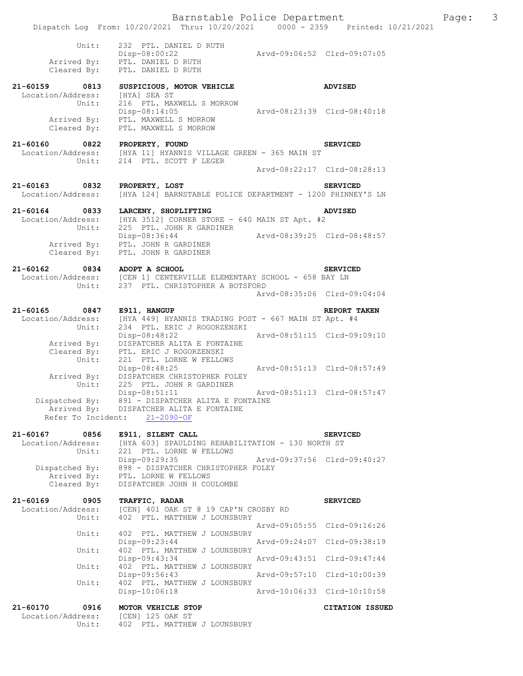|                              | Unit:       | 232 PTL. DANIEL D RUTH                                                                                        |                             |                 |
|------------------------------|-------------|---------------------------------------------------------------------------------------------------------------|-----------------------------|-----------------|
|                              |             | Disp-08:00:22                                                                                                 | Arvd-09:06:52 Clrd-09:07:05 |                 |
|                              |             | Arrived By: PTL. DANIEL D RUTH                                                                                |                             |                 |
|                              | Cleared By: | PTL. DANIEL D RUTH                                                                                            |                             |                 |
| 21-60159 0813                |             | SUSPICIOUS, MOTOR VEHICLE                                                                                     |                             | <b>ADVISED</b>  |
| Location/Address:            |             | [HYA] SEA ST                                                                                                  |                             |                 |
|                              | Unit:       | 216 PTL. MAXWELL S MORROW                                                                                     |                             |                 |
|                              |             | $Disp-08:14:05$                                                                                               | Arvd-08:23:39 Clrd-08:40:18 |                 |
|                              |             | Arrived By: PTL. MAXWELL S MORROW                                                                             |                             |                 |
|                              | Cleared By: | PTL. MAXWELL S MORROW                                                                                         |                             |                 |
| 21-60160 0822                |             | PROPERTY, FOUND                                                                                               |                             | <b>SERVICED</b> |
|                              |             | Location/Address: [HYA 11] HYANNIS VILLAGE GREEN - 365 MAIN ST                                                |                             |                 |
|                              | Unit:       | 214 PTL. SCOTT F LEGER                                                                                        |                             |                 |
|                              |             |                                                                                                               | Aryd-08:22:17 Clrd-08:28:13 |                 |
| 21-60163 0832                |             | PROPERTY, LOST                                                                                                |                             | <b>SERVICED</b> |
| Location/Address:            |             | [HYA 124] BARNSTABLE POLICE DEPARTMENT - 1200 PHINNEY'S LN                                                    |                             |                 |
|                              |             |                                                                                                               |                             |                 |
| 21-60164                     | 0833        | LARCENY, SHOPLIFTING                                                                                          |                             | <b>ADVISED</b>  |
| Location/Address:            |             | [HYA 3512] CORNER STORE - 640 MAIN ST Apt. #2                                                                 |                             |                 |
|                              | Unit:       | 225 PTL. JOHN R GARDINER                                                                                      |                             |                 |
|                              |             | Disp-08:36:44                                                                                                 | Arvd-08:39:25 Clrd-08:48:57 |                 |
|                              | Arrived By: | PTL. JOHN R GARDINER                                                                                          |                             |                 |
|                              | Cleared By: | PTL. JOHN R GARDINER                                                                                          |                             |                 |
| 21-60162 0834 ADOPT A SCHOOL |             |                                                                                                               |                             | <b>SERVICED</b> |
|                              |             | Location/Address: [CEN 1] CENTERVILLE ELEMENTARY SCHOOL - 658 BAY LN<br>Unit: 237 PTL. CHRISTOPHER A BOTSFORD |                             |                 |
|                              |             |                                                                                                               |                             |                 |
|                              |             |                                                                                                               | Arvd-08:35:06 Clrd-09:04:04 |                 |
| 21-60165 0847                |             | E911, HANGUP                                                                                                  |                             | REPORT TAKEN    |
| Location/Address:            |             | [HYA 449] HYANNIS TRADING POST - 667 MAIN ST Apt. #4                                                          |                             |                 |
|                              | Unit:       | 234 PTL. ERIC J ROGORZENSKI                                                                                   |                             |                 |
|                              |             | Disp-08:48:22                                                                                                 | Arvd-08:51:15 Clrd-09:09:10 |                 |
|                              | Arrived By: | DISPATCHER ALITA E FONTAINE                                                                                   |                             |                 |
|                              | Cleared By: | PTL. ERIC J ROGORZENSKI                                                                                       |                             |                 |
|                              | Unit:       | 221 PTL. LORNE W FELLOWS                                                                                      |                             |                 |
|                              |             | $Disp-08:48:25$                                                                                               | Arvd-08:51:13 Clrd-08:57:49 |                 |
|                              | Arrived By: | DISPATCHER CHRISTOPHER FOLEY                                                                                  |                             |                 |
|                              |             | Unit: 225 PTL. JOHN R GARDINER                                                                                |                             |                 |
|                              |             | Disp-08:51:11                                                                                                 | Arvd-08:51:13 Clrd-08:57:47 |                 |
|                              |             | Dispatched By: 891 - DISPATCHER ALITA E FONTAINE                                                              |                             |                 |
|                              | Arrived By: | DISPATCHER ALITA E FONTAINE                                                                                   |                             |                 |
|                              |             | Refer To Incident: 21-2090-OF                                                                                 |                             |                 |
|                              |             |                                                                                                               |                             |                 |

**21-60167 0856 E911, SILENT CALL SERVICED**  Location/Address: [HYA 603] SPAULDING REHABILITATION - 130 NORTH ST Unit: 221 PTL. LORNE W FELLOWS Disp-09:29:35 Arvd-09:37:56 Clrd-09:40:27 Dispatched By: 898 - DISPATCHER CHRISTOPHER FOLEY Arrived By: PTL. LORNE W FELLOWS Cleared By: DISPATCHER JOHN H COULOMBE

21-60169 0905 TRAFFIC, RADAR **SERVICED**<br>Location/Address: [CEN] 401 OAK ST @ 19 CAP'N CROSBY RD [CEN] 401 OAK ST @ 19 CAP'N CROSBY RD Unit: 402 PTL. MATTHEW J LOUNSBURY Arvd-09:05:55 Clrd-09:16:26<br>Unit: 402 PTL. MATTHEW J LOUNSBURY 402 PTL. MATTHEW J LOUNSBURY<br>Disp-09:23:44 Disp-09:23:44 Arvd-09:24:07 Clrd-09:38:19<br>Unit: 402 PTL. MATTHEW J LOUNSBURY 402 PTL. MATTHEW J LOUNSBURY Disp-09:43:34 Arvd-09:43:51 Clrd-09:47:44 Unit: 402 PTL. MATTHEW J LOUNSBURY Disp-09:56:43 Arvd-09:57:10 Clrd-10:00:39<br>Unit: 402 PTL. MATTHEW J LOUNSBURY 402 PTL. MATTHEW J LOUNSBURY<br>Disp-10:06:18 Disp-10:06:18 Arvd-10:06:33 Clrd-10:10:58 **21-60170 0916 MOTOR VEHICLE STOP CITATION ISSUED** Location/Address: [CEN] 125 OAK ST

Location/Address:<br>Unit:

402 PTL. MATTHEW J LOUNSBURY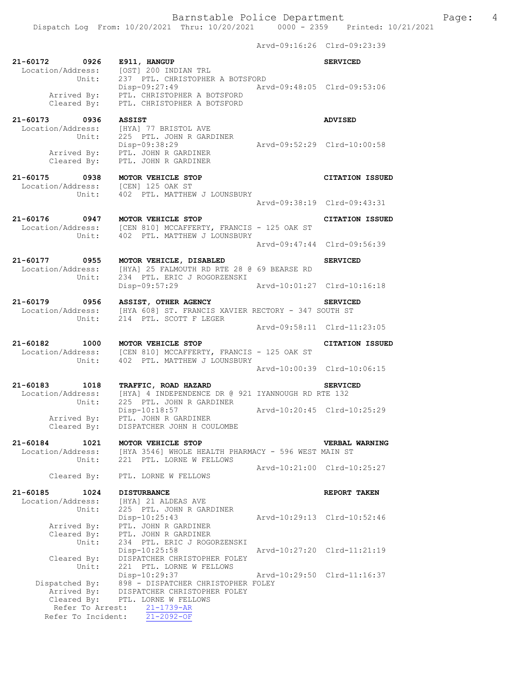|                                                                        |                                                                                                                                                             |                             | Arvd-09:16:26 Clrd-09:23:39 |
|------------------------------------------------------------------------|-------------------------------------------------------------------------------------------------------------------------------------------------------------|-----------------------------|-----------------------------|
| 21-60172 0926 E911, HANGUP                                             | Location/Address: [OST] 200 INDIAN TRL<br>Unit: 237 PTL. CHRISTOPHER A BOTSFORD                                                                             |                             | <b>SERVICED</b>             |
|                                                                        | Disp-09:27:49 Arvd-09:48:05 Clrd-09:53:06<br>Arrived By: PTL. CHRISTOPHER A BOTSFORD<br>Cleared By: PTL. CHRISTOPHER A BOTSFORD                             |                             |                             |
| 21-60173 0936 ASSIST                                                   |                                                                                                                                                             |                             | <b>ADVISED</b>              |
| ires<br>Unit:                                                          | Location/Address: [HYA] 77 BRISTOL AVE<br>225 PTL. JOHN R GARDINER<br>DISP-09:38:29<br>Arrived By: PTL. JOHN R GARDINER<br>Cleared By: PTL. JOHN R GARDINER | Arvd-09:52:29 Clrd-10:00:58 |                             |
| 21-60175 0938 MOTOR VEHICLE STOP<br>Location/Address: [CEN] 125 OAK ST |                                                                                                                                                             |                             | CITATION ISSUED             |
|                                                                        | Unit: 402 PTL. MATTHEW J LOUNSBURY                                                                                                                          | Arvd-09:38:19 Clrd-09:43:31 |                             |
|                                                                        | 21-60176 0947 MOTOR VEHICLE STOP<br>Location/Address: [CEN 810] MCCAFFERTY, FRANCIS - 125 OAK ST                                                            |                             | <b>CITATION ISSUED</b>      |
|                                                                        | Unit: 402 PTL. MATTHEW J LOUNSBURY                                                                                                                          |                             |                             |
|                                                                        |                                                                                                                                                             | Arvd-09:47:44 Clrd-09:56:39 |                             |
| Location/Address:<br>Unit:                                             | 21-60177 0955 MOTOR VEHICLE, DISABLED<br>[HYA] 25 FALMOUTH RD RTE 28 @ 69 BEARSE RD<br>234 PTL. ERIC J ROGORZENSKI                                          |                             | <b>SERVICED</b>             |
|                                                                        | Disp-09:57:29                                                                                                                                               | Arvd-10:01:27 Clrd-10:16:18 |                             |
|                                                                        | 21-60179 0956 ASSIST, OTHER AGENCY<br>Location/Address: [HYA 608] ST. FRANCIS XAVIER RECTORY - 347 SOUTH ST<br>Unit: 214 PTL. SCOTT F LEGER                 |                             | <b>SERVICED</b>             |
|                                                                        |                                                                                                                                                             | Arvd-09:58:11 Clrd-11:23:05 |                             |
| 21-60182 1000 MOTOR VEHICLE STOP                                       | Location/Address: [CEN 810] MCCAFFERTY, FRANCIS - 125 OAK ST<br>Unit: 402 PTL. MATTHEW J LOUNSBURY                                                          |                             | <b>CITATION ISSUED</b>      |
|                                                                        |                                                                                                                                                             |                             | Arvd-10:00:39 Clrd-10:06:15 |
| Unit:                                                                  | 21-60183 1018 TRAFFIC, ROAD HAZARD<br>Location/Address: [HYA] 4 INDEPENDENCE DR @ 921 IYANNOUGH RD RTE 132<br>225 PTL. JOHN R GARDINER                      |                             | <b>SERVICED</b>             |
| Arrived By:<br>Cleared By:                                             | Disp-10:18:57<br>PTL. JOHN R GARDINER<br>DISPATCHER JOHN H COULOMBE                                                                                         | Arvd-10:20:45 Clrd-10:25:29 |                             |
| 21-60184 1021                                                          | MOTOR VEHICLE STOP                                                                                                                                          |                             | VERBAL WARNING              |
| Location/Address:                                                      | [HYA 3546] WHOLE HEALTH PHARMACY - 596 WEST MAIN ST                                                                                                         |                             |                             |
| Unit:<br>Cleared By:                                                   | 221 PTL. LORNE W FELLOWS<br>PTL. LORNE W FELLOWS                                                                                                            |                             | Arvd-10:21:00 Clrd-10:25:27 |
| 21-60185<br>1024                                                       | <b>DISTURBANCE</b>                                                                                                                                          |                             | REPORT TAKEN                |
| Location/Address:<br>Unit:                                             | [HYA] 21 ALDEAS AVE<br>225 PTL. JOHN R GARDINER                                                                                                             |                             |                             |
| Arrived By:                                                            | Disp-10:25:43<br>PTL. JOHN R GARDINER                                                                                                                       |                             | Arvd-10:29:13 Clrd-10:52:46 |
| Cleared By:<br>Unit:                                                   | PTL. JOHN R GARDINER<br>234 PTL. ERIC J ROGORZENSKI<br>$Disp-10:25:58$                                                                                      |                             | Arvd-10:27:20 Clrd-11:21:19 |
| Cleared By:<br>Unit:                                                   | DISPATCHER CHRISTOPHER FOLEY<br>221 PTL. LORNE W FELLOWS<br>Disp-10:29:37                                                                                   |                             | Arvd-10:29:50 Clrd-11:16:37 |
| Dispatched By:<br>Arrived By:                                          | 898 - DISPATCHER CHRISTOPHER FOLEY<br>DISPATCHER CHRISTOPHER FOLEY                                                                                          |                             |                             |

 Cleared By: PTL. LORNE W FELLOWS Refer To Arrest: 21-1739-AR Refer To Incident: 21-2092-OF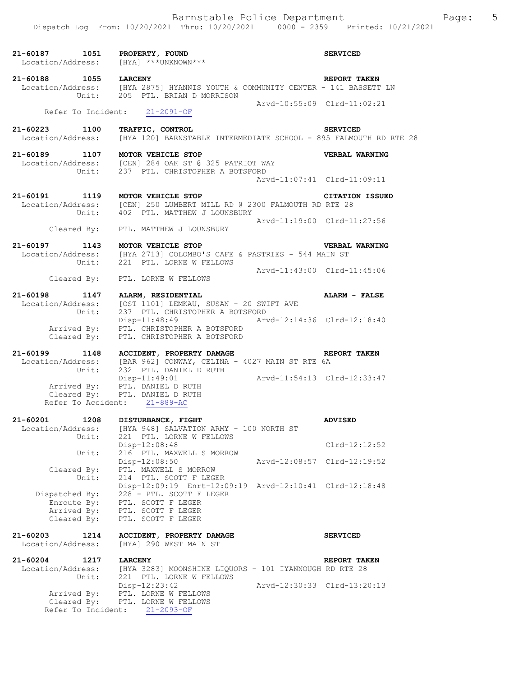| 21-60187 1051                                               | PROPERTY, FOUND<br>Location/Address: [HYA] ***UNKNOWN***                                                                                              |                             | <b>SERVICED</b>        |
|-------------------------------------------------------------|-------------------------------------------------------------------------------------------------------------------------------------------------------|-----------------------------|------------------------|
| 21-60188 1055 LARCENY                                       | Location/Address: [HYA 2875] HYANNIS YOUTH & COMMUNITY CENTER - 141 BASSETT LN<br>Unit: 205 PTL. BRIAN D MORRISON                                     |                             | <b>REPORT TAKEN</b>    |
|                                                             | Refer To Incident: 21-2091-OF                                                                                                                         | Arvd-10:55:09 Clrd-11:02:21 |                        |
| 21-60223 1100<br>Location/Address:                          | TRAFFIC, CONTROL<br>[HYA 120] BARNSTABLE INTERMEDIATE SCHOOL - 895 FALMOUTH RD RTE 28                                                                 |                             | <b>SERVICED</b>        |
|                                                             | 21-60189 1107 MOTOR VEHICLE STOP<br>Location/Address: [CEN] 284 OAK ST @ 325 PATRIOT WAY<br>Unit: 237 PTL. CHRISTOPHER A BOTSFORD                     | Arvd-11:07:41 Clrd-11:09:11 | VERBAL WARNING         |
| 21-60191 1119                                               | MOTOR VEHICLE STOP<br>Location/Address: [CEN] 250 LUMBERT MILL RD @ 2300 FALMOUTH RD RTE 28<br>Unit: 402 PTL. MATTHEW J LOUNSBURY                     |                             | <b>CITATION ISSUED</b> |
|                                                             | Cleared By: PTL. MATTHEW J LOUNSBURY                                                                                                                  | Arvd-11:19:00 Clrd-11:27:56 |                        |
|                                                             | 21-60197 1143 MOTOR VEHICLE STOP<br>Location/Address: [HYA 2713] COLOMBO'S CAFE & PASTRIES - 544 MAIN ST<br>Unit: 221 PTL. LORNE W FELLOWS            |                             | <b>VERBAL WARNING</b>  |
|                                                             | Cleared By: PTL. LORNE W FELLOWS                                                                                                                      | Arvd-11:43:00 Clrd-11:45:06 |                        |
|                                                             | 21-60198 1147 ALARM, RESIDENTIAL<br>Location/Address: [OST 1101] LEMKAU, SUSAN - 20 SWIFT AVE<br>Unit: 237 PTL. CHRISTOPHER A BOTSFORD                |                             | ALARM - FALSE          |
|                                                             | Disp-11:48:49<br>Arrived By: PTL. CHRISTOPHER A BOTSFORD<br>Cleared By: PTL. CHRISTOPHER A BOTSFORD                                                   | Arvd-12:14:36 Clrd-12:18:40 |                        |
|                                                             | 21-60199 1148 ACCIDENT, PROPERTY DAMAGE<br>Location/Address: [BAR 962] CONWAY, CELINA - 4027 MAIN ST RTE 6A<br>Unit: 232 PTL. DANIEL D RUTH           |                             | REPORT TAKEN           |
|                                                             | $Disp-11:49:01$<br>Arrived By: PTL. DANIEL D RUTH<br>Cleared By: PTL. DANIEL D RUTH<br>Refer To Accident: 21-889-AC                                   | Arvd-11:54:13 Clrd-12:33:47 |                        |
| 21-60201<br>1208<br>Location/Address:                       | DISTURBANCE, FIGHT<br>[HYA 948] SALVATION ARMY - 100 NORTH ST                                                                                         |                             | <b>ADVISED</b>         |
| Unit:<br>Unit:                                              | 221 PTL. LORNE W FELLOWS<br>Disp-12:08:48<br>216 PTL. MAXWELL S MORROW                                                                                |                             | $Clrd-12:12:52$        |
| Cleared By:<br>Unit:                                        | Disp-12:08:50<br>PTL. MAXWELL S MORROW<br>214 PTL. SCOTT F LEGER                                                                                      | Arvd-12:08:57 Clrd-12:19:52 |                        |
| Dispatched By:<br>Enroute By:<br>Arrived By:<br>Cleared By: | Disp-12:09:19 Enrt-12:09:19 Arvd-12:10:41 Clrd-12:18:48<br>228 - PTL. SCOTT F LEGER<br>PTL. SCOTT F LEGER<br>PTL. SCOTT F LEGER<br>PTL. SCOTT F LEGER |                             |                        |
| $21 - 60203$<br>1214<br>Location/Address:                   | ACCIDENT, PROPERTY DAMAGE<br>[HYA] 290 WEST MAIN ST                                                                                                   |                             | <b>SERVICED</b>        |
| $21 - 60204$<br>1217                                        | <b>LARCENY</b>                                                                                                                                        |                             | REPORT TAKEN           |
| Location/Address:<br>Unit:                                  | [HYA 3283] MOONSHINE LIQUORS - 101 IYANNOUGH RD RTE 28<br>221 PTL. LORNE W FELLOWS                                                                    |                             |                        |
| Arrived By:<br>Cleared By:<br>Refer To Incident:            | Disp-12:23:42<br>PTL. LORNE W FELLOWS<br>PTL. LORNE W FELLOWS<br>$21 - 2093 - OF$                                                                     | Arvd-12:30:33 Clrd-13:20:13 |                        |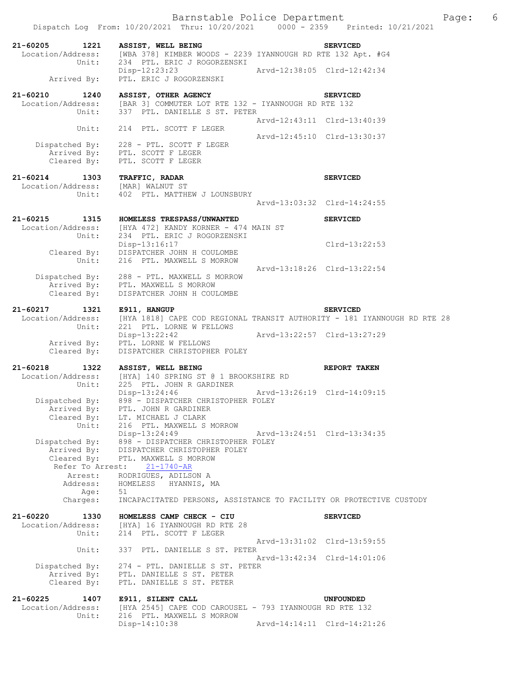| 21-60205<br>1221<br>Location/Address:                 | <b>ASSIST, WELL BEING</b><br>[WBA 378] KIMBER WOODS - 2239 IYANNOUGH RD RTE 132 Apt. #G4                            |                             | <b>SERVICED</b>     |
|-------------------------------------------------------|---------------------------------------------------------------------------------------------------------------------|-----------------------------|---------------------|
| Unit:<br>Arrived By:                                  | 234 PTL. ERIC J ROGORZENSKI<br>$Disp-12:23:23$<br>PTL. ERIC J ROGORZENSKI                                           | Arvd-12:38:05 Clrd-12:42:34 |                     |
|                                                       |                                                                                                                     |                             |                     |
| 21-60210<br>1240<br>Location/Address:<br>Unit:        | <b>ASSIST, OTHER AGENCY</b><br>[BAR 3] COMMUTER LOT RTE 132 - IYANNOUGH RD RTE 132<br>337 PTL. DANIELLE S ST. PETER |                             | <b>SERVICED</b>     |
| Unit:                                                 | 214 PTL. SCOTT F LEGER                                                                                              | Arvd-12:43:11 Clrd-13:40:39 |                     |
|                                                       | Dispatched By: 228 - PTL. SCOTT F LEGER                                                                             | Arvd-12:45:10 Clrd-13:30:37 |                     |
|                                                       | Arrived By: PTL. SCOTT F LEGER<br>Cleared By: PTL. SCOTT F LEGER                                                    |                             |                     |
| 21-60214<br>1303<br>Location/Address: [MAR] WALNUT ST | TRAFFIC, RADAR                                                                                                      |                             | <b>SERVICED</b>     |
| Unit:                                                 | 402 PTL. MATTHEW J LOUNSBURY                                                                                        | Arvd-13:03:32 Clrd-14:24:55 |                     |
|                                                       |                                                                                                                     |                             |                     |
| $21 - 60215$<br>1315<br>Location/Address:<br>Unit:    | HOMELESS TRESPASS/UNWANTED<br>[HYA 472] KANDY KORNER - 474 MAIN ST<br>234 PTL. ERIC J ROGORZENSKI                   |                             | <b>SERVICED</b>     |
| Unit:                                                 | Disp-13:16:17<br>Cleared By: DISPATCHER JOHN H COULOMBE<br>216 PTL. MAXWELL S MORROW                                |                             | $Clrd-13:22:53$     |
|                                                       |                                                                                                                     | Arvd-13:18:26 Clrd-13:22:54 |                     |
| Cleared By:                                           | Dispatched By: 288 - PTL. MAXWELL S MORROW<br>Arrived By: PTL. MAXWELL S MORROW<br>DISPATCHER JOHN H COULOMBE       |                             |                     |
|                                                       |                                                                                                                     |                             |                     |
| 21-60217<br>1321<br>Location/Address:                 | E911, HANGUP<br>[HYA 1818] CAPE COD REGIONAL TRANSIT AUTHORITY - 181 IYANNOUGH RD RTE 28                            |                             | <b>SERVICED</b>     |
| Unit:                                                 | 221 PTL. LORNE W FELLOWS<br>Disp-13:22:42                                                                           | Arvd-13:22:57 Clrd-13:27:29 |                     |
| Cleared By:                                           | Arrived By: PTL. LORNE W FELLOWS<br>DISPATCHER CHRISTOPHER FOLEY                                                    |                             |                     |
| 21-60218<br>1322                                      | ASSIST, WELL BEING                                                                                                  |                             | <b>REPORT TAKEN</b> |
| Location/Address:<br>Unit:                            | [HYA] 140 SPRING ST @ 1 BROOKSHIRE RD<br>225 PTL. JOHN R GARDINER                                                   |                             |                     |
| Arrived By:                                           | Disp-13:24:46<br>Dispatched By: 898 - DISPATCHER CHRISTOPHER FOLEY<br>PTL. JOHN R GARDINER                          | Arvd-13:26:19 Clrd-14:09:15 |                     |
| Unit:                                                 | Cleared By: LT. MICHAEL J CLARK<br>216 PTL. MAXWELL S MORROW                                                        |                             |                     |
| Arrived By:                                           | Disp-13:24:49<br>Dispatched By: 898 - DISPATCHER CHRISTOPHER FOLEY<br>DISPATCHER CHRISTOPHER FOLEY                  | Arvd-13:24:51 Clrd-13:34:35 |                     |
| Cleared By:<br>Refer To Arrest:                       | PTL. MAXWELL S MORROW<br>$21 - 1740 - AR$                                                                           |                             |                     |
| Arrest:<br>Address:                                   | RODRIGUES, ADILSON A<br>HOMELESS<br>HYANNIS, MA                                                                     |                             |                     |
| Age:<br>Charges:                                      | 51<br>INCAPACITATED PERSONS, ASSISTANCE TO FACILITY OR PROTECTIVE CUSTODY                                           |                             |                     |
| $21 - 60220$<br>1330                                  | HOMELESS CAMP CHECK - CIU                                                                                           |                             | <b>SERVICED</b>     |
| Location/Address:<br>Unit:                            | [HYA] 16 IYANNOUGH RD RTE 28<br>214 PTL. SCOTT F LEGER                                                              |                             |                     |
| Unit:                                                 | 337 PTL. DANIELLE S ST. PETER                                                                                       | Arvd-13:31:02 Clrd-13:59:55 |                     |
| Dispatched By:                                        | 274 - PTL. DANIELLE S ST. PETER                                                                                     | Arvd-13:42:34 Clrd-14:01:06 |                     |
| Arrived By:<br>Cleared By:                            | PTL. DANIELLE S ST. PETER<br>PTL. DANIELLE S ST. PETER                                                              |                             |                     |
| $21 - 60225$<br>1407<br>Location/Address:             | E911, SILENT CALL<br>[HYA 2545] CAPE COD CAROUSEL - 793 IYANNOUGH RD RTE 132                                        |                             | <b>UNFOUNDED</b>    |
| Unit:                                                 |                                                                                                                     |                             |                     |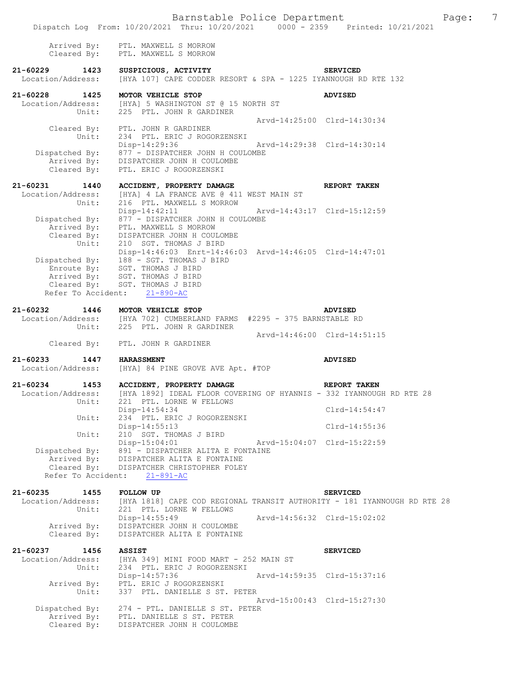Barnstable Police Department Page: 7 Dispatch Log From: 10/20/2021 Thru: 10/20/2021 0000 - 2359 Printed: 10/21/2021 Arrived By: PTL. MAXWELL S MORROW Cleared By: PTL. MAXWELL S MORROW **21-60229 1423 SUSPICIOUS, ACTIVITY SERVICED**  Location/Address: [HYA 107] CAPE CODDER RESORT & SPA - 1225 IYANNOUGH RD RTE 132 **21-60228 1425 MOTOR VEHICLE STOP ADVISED**  Location/Address: [HYA] 5 WASHINGTON ST @ 15 NORTH ST Unit: 225 PTL. JOHN R GARDINER Arvd-14:25:00 Clrd-14:30:34 Cleared By: PTL. JOHN R GARDINER Unit: 234 PTL. ERIC J ROGORZENSKI<br>Disp-14:29:36 Disp-14:29:36 Arvd-14:29:38 Clrd-14:30:14 Dispatched By: 877 - DISPATCHER JOHN H COULOMBE Arrived By: DISPATCHER JOHN H COULOMBE Cleared By: PTL. ERIC J ROGORZENSKI **21-60231 1440 ACCIDENT, PROPERTY DAMAGE REPORT TAKEN**  Location/Address: [HYA] 4 LA FRANCE AVE @ 411 WEST MAIN ST Unit: 216 PTL. MAXWELL S MORROW Disp-14:42:11 Arvd-14:43:17 Clrd-15:12:59 Dispatched By: 877 - DISPATCHER JOHN H COULOMBE Arrived By: PTL. MAXWELL S MORROW Cleared By: DISPATCHER JOHN H COULOMBE Unit: 210 SGT. THOMAS J BIRD Disp-14:46:03 Enrt-14:46:03 Arvd-14:46:05 Clrd-14:47:01 Dispatched By: 188 - SGT. THOMAS J BIRD Enroute By: SGT. THOMAS J BIRD Arrived By: SGT. THOMAS J BIRD Cleared By: SGT. THOMAS J BIRD Refer To Accident: 21-890-AC **21-60232 1446 MOTOR VEHICLE STOP ADVISED**  Location/Address: [HYA 702] CUMBERLAND FARMS #2295 - 375 BARNSTABLE RD Unit: 225 PTL. JOHN R GARDINER Arvd-14:46:00 Clrd-14:51:15 Cleared By: PTL. JOHN R GARDINER **21-60233 1447 HARASSMENT ADVISED**<br>Location/Address: [HYA] 84 PINE GROVE AVE Apt. #TOP [HYA] 84 PINE GROVE AVE Apt. #TOP **21-60234 1453 ACCIDENT, PROPERTY DAMAGE REPORT TAKEN**  Location/Address: [HYA 1892] IDEAL FLOOR COVERING OF HYANNIS - 332 IYANNOUGH RD RTE 28<br>Unit: 221 PTL. LORNE W FELLOWS 221 PTL. LORNE W FELLOWS Disp-14:54:34 Clrd-14:54:47 Unit: 234 PTL. ERIC J ROGORZENSKI Disp-14:55:13 Clrd-14:55:36 Unit: 210 SGT. THOMAS J BIRD<br>Disp-15:04:01 Disp-15:04:01 Arvd-15:04:07 Clrd-15:22:59<br>Dispatched By: 891 - DISPATCHER ALITA E FONTAINE 891 - DISPATCHER ALITA E FONTAINE Arrived By: DISPATCHER ALITA E FONTAINE Cleared By: DISPATCHER CHRISTOPHER FOLEY Refer To Accident: 21-891-AC

**21-60235 1455 FOLLOW UP SERVICED**  Location/Address: [HYA 1818] CAPE COD REGIONAL TRANSIT AUTHORITY - 181 IYANNOUGH RD RTE 28<br>Unit: 221 PTL. LORNE W FELLOWS 221 PTL. LORNE W FELLOWS<br>Disp-14:55:49 Disp-14:55:49 Arvd-14:56:32 Clrd-15:02:02 Arrived By: DISPATCHER JOHN H COULOMBE Cleared By: DISPATCHER ALITA E FONTAINE

**21-60237 1456 ASSIST SERVICED**  Location/Address: [HYA 349] MINI FOOD MART - 252 MAIN ST<br>Unit: 234 PTL. ERIC J ROGORZENSKI 234 PTL. ERIC J ROGORZENSKI<br>Disp-14:57:36 Disp-14:57:36 Arvd-14:59:35 Clrd-15:37:16 Arrived By: PTL. ERIC J ROGORZENSKI Unit: 337 PTL. DANIELLE S ST. PETER Arvd-15:00:43 Clrd-15:27:30 Dispatched By: 274 - PTL. DANIELLE S ST. PETER Arrived By: PTL. DANIELLE S ST. PETER Cleared By: DISPATCHER JOHN H COULOMBE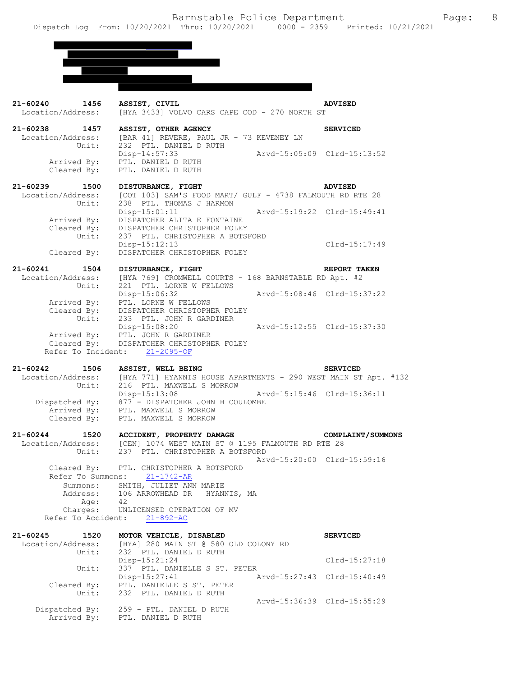

| 21-60240 1456 ASSIST, CIVIL<br>Location/Address: | [HYA 3433] VOLVO CARS CAPE COD - 270 NORTH ST                                                                                      | <b>ADVISED</b>              |
|--------------------------------------------------|------------------------------------------------------------------------------------------------------------------------------------|-----------------------------|
| 21-60238 1457<br>Unit:                           | ASSIST, OTHER AGENCY<br>Location/Address: [BAR 41] REVERE, PAUL JR - 73 KEVENEY LN<br>232 PTL. DANIEL D RUTH                       | <b>SERVICED</b>             |
| Cleared By:                                      | Disp-14:57:33<br>Arvd-15:05:09 Clrd-15:13:52<br>Arrived By: PTL. DANIEL D RUTH<br>PTL. DANIEL D RUTH                               |                             |
| 21-60239 1500                                    | <b>DISTURBANCE, FIGHT</b>                                                                                                          | ADVISED                     |
| Location/Address:<br>Unit:                       | [COT 103] SAM'S FOOD MART/ GULF - 4738 FALMOUTH RD RTE 28<br>238 PTL. THOMAS J HARMON                                              |                             |
| Arrived By:                                      | $Disp-15:01:11$<br>Arvd-15:19:22 Clrd-15:49:41<br>DISPATCHER ALITA E FONTAINE                                                      |                             |
| Cleared By:                                      | Cleared By: DISPATCHER CHRISTOPHER FOLEY<br>Unit: 237 PTL. CHRISTOPHER A BOTSFORD<br>Disp-15:12:13<br>DISPATCHER CHRISTOPHER FOLEY | Clrd-15:17:49               |
| 21-60241 1504 DISTURBANCE, FIGHT                 |                                                                                                                                    | REPORT TAKEN                |
| Location/Address:                                | [HYA 769] CROMWELL COURTS - 168 BARNSTABLE RD Apt. #2                                                                              |                             |
| Arrived By:                                      | Unit: 221 PTL. LORNE W FELLOWS<br>$\frac{1}{2}$<br>PTL. LORNE W FELLOWS<br>preparature is                                          |                             |
|                                                  | Cleared By: DISPATCHER CHRISTOPHER FOLEY<br>Unit: 233 PTL. JOHN R GARDINER<br>Disp-15:08:20<br>Arvd-15:12:55 Clrd-15:37:30         |                             |
|                                                  | Arrived By: PTL. JOHN R GARDINER<br>Cleared By: DISPATCHER CHRISTOPHER FOLEY<br>Refer To Incident: 21-2095-OF                      |                             |
|                                                  |                                                                                                                                    |                             |
| 21-60242<br>1506<br>Location/Address:            | ASSIST, WELL BEING<br>[HYA 771] HYANNIS HOUSE APARTMENTS - 290 WEST MAIN ST Apt. #132                                              | <b>SERVICED</b>             |
| Unit:                                            | 216 PTL. MAXWELL S MORROW<br>Arvd-15:15:46 Clrd-15:36:11<br>Disp-15:13:08<br>Dispatched By: 877 - DISPATCHER JOHN H COULOMBE       |                             |
| Arrived By:<br>Cleared By:                       | PTL. MAXWELL S MORROW<br>PTL. MAXWELL S MORROW                                                                                     |                             |
|                                                  | 21-60244 1520 ACCIDENT, PROPERTY DAMAGE                                                                                            | COMPLAINT/SUMMONS           |
|                                                  | Location/Address: [CEN] 1074 WEST MAIN ST @ 1195 FALMOUTH RD RTE 28<br>237 PTL. CHRISTOPHER A BOTSFORD                             |                             |
| Unit:                                            | Cleared By: PTL. CHRISTOPHER A BOTSFORD                                                                                            | Arvd-15:20:00 Clrd-15:59:16 |
|                                                  | Refer To Summons: $21 - \frac{1742 - AR}{174}$                                                                                     |                             |
| Summons:<br>Address:<br>Age:                     | SMITH, JULIET ANN MARIE<br>106 ARROWHEAD DR<br>HYANNIS, MA<br>42                                                                   |                             |
| Charges:<br>Refer To Accident:                   | UNLICENSED OPERATION OF MV<br>$21 - 892 - AC$                                                                                      |                             |
| $21 - 60245$<br>1520                             | MOTOR VEHICLE, DISABLED                                                                                                            | <b>SERVICED</b>             |
| Location/Address:<br>Unit:                       | [HYA] 280 MAIN ST @ 580 OLD COLONY RD<br>232 PTL. DANIEL D RUTH                                                                    |                             |
| Unit:                                            | Disp-15:21:24<br>337 PTL. DANIELLE S ST. PETER                                                                                     | $Clrd-15:27:18$             |
| Cleared By:<br>Unit:                             | $Disp-15:27:41$                                                                                                                    | Arvd-15:27:43 Clrd-15:40:49 |
|                                                  | PTL. DANIELLE S ST. PETER<br>232 PTL. DANIEL D RUTH                                                                                |                             |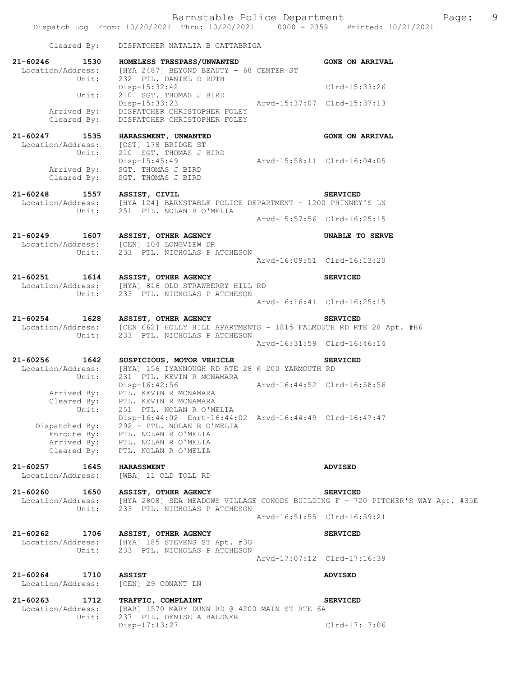Dispatch Log From: 10/20/2021 Thru: 10/20/2021 0000 - 2359 Printed: 10/21/2021

|                                           | Cleared By: DISPATCHER NATALIA B CATTABRIGA                                                                                                                                                       |                             |                                                                                                                     |
|-------------------------------------------|---------------------------------------------------------------------------------------------------------------------------------------------------------------------------------------------------|-----------------------------|---------------------------------------------------------------------------------------------------------------------|
| 21-60246 1530<br>Unit:                    | HOMELESS TRESPASS/UNWANTED<br>Location/Address: [HYA 2487] BEYOND BEAUTY - 68 CENTER ST<br>232 PTL. DANIEL D RUTH                                                                                 |                             | <b>GONE ON ARRIVAL</b>                                                                                              |
| Unit:                                     | Disp-15:32:42<br>210 SGT. THOMAS J BIRD                                                                                                                                                           |                             | Clrd-15:33:26                                                                                                       |
|                                           | Disp-15:33:23<br>Arrived By: DISPATCHER CHRISTOPHER FOLEY<br>Cleared By: DISPATCHER CHRISTOPHER FOLEY<br>DISPATCHER CHRISTOPHER FOLEY                                                             |                             |                                                                                                                     |
| 21-60247 1535<br>Unit:                    | HARASSMENT, UNWANTED<br>Location/Address: [OST] 178 BRIDGE ST<br>210 SGT. THOMAS J BIRD                                                                                                           |                             | <b>GONE ON ARRIVAL</b>                                                                                              |
| Cleared By:                               | Disp-15:45:49<br>Arrived By: SGT. THOMAS J BIRD<br>SGT. THOMAS J BIRD                                                                                                                             | Arvd-15:58:11 Clrd-16:04:05 |                                                                                                                     |
|                                           | 21-60248 1557 ASSIST, CIVIL SERVICED<br>Location/Address: [HYA 124] BARNSTABLE POLICE DEPARTMENT - 1200 PHINNEY'S LN<br>Unit: 251 PTL. NOLAN R O'MELIA                                            |                             |                                                                                                                     |
|                                           |                                                                                                                                                                                                   |                             | Arvd-15:57:56 Clrd-16:25:15                                                                                         |
|                                           | 21-60249 1607 ASSIST, OTHER AGENCY<br>Location/Address: [CEN] 104 LONGVIEW DR<br>Unit: 233 PTL. NICHOLAS P ATCHESON                                                                               |                             | UNABLE TO SERVE                                                                                                     |
|                                           |                                                                                                                                                                                                   |                             | Arvd-16:09:51 Clrd-16:13:20                                                                                         |
|                                           | 21-60251 1614 ASSIST, OTHER AGENCY<br>Location/Address: [HYA] 816 OLD STRAWBERRY HILL RD<br>Unit: 233 PTL. NICHOLAS P ATCHESON                                                                    |                             | <b>SERVICED</b>                                                                                                     |
|                                           |                                                                                                                                                                                                   |                             | Arvd-16:16:41 Clrd-16:25:15                                                                                         |
| $21 - 60254$                              | 1628 ASSIST, OTHER AGENCY<br>Location/Address: [CEN 662] HOLLY HILL APARTMENTS - 1815 FALMOUTH RD RTE 28 Apt. #H6<br>Unit: 233 PTL. NICHOLAS P ATCHESON                                           |                             | <b>SERVICED</b>                                                                                                     |
|                                           |                                                                                                                                                                                                   |                             | Arvd-16:31:59 Clrd-16:46:14                                                                                         |
| 21-60256 1642<br>Unit:                    | SUSPICIOUS, MOTOR VEHICLE<br>Location/Address: [HYA] 156 IYANNOUGH RD RTE 28 @ 200 YARMOUTH RD<br>231 PTL. KEVIN R MCNAMARA                                                                       |                             | <b>SERVICED</b>                                                                                                     |
| Unit:                                     | Disp-16:42:56<br>Arrived By: PTL. KEVIN R MCNAMARA<br>Cleared By: PTL. KEVIN R MCNAMARA<br>251 PTL. NOLAN R O'MELIA                                                                               | Arvd-16:44:52 Clrd-16:58:56 |                                                                                                                     |
| Dispatched By:                            | Disp-16:44:02 Enrt-16:44:02 Arvd-16:44:49 Clrd-16:47:47<br>292 - PTL. NOLAN R O'MELIA<br>Enroute By: PTL. NOLAN R O'MELIA<br>Arrived By: PTL. NOLAN R O'MELIA<br>Cleared By: PTL. NOLAN R O'MELIA |                             |                                                                                                                     |
| $21 - 60257$<br>1645<br>Location/Address: | <b>HARASSMENT</b><br>[WBA] 11 OLD TOLL RD                                                                                                                                                         |                             | <b>ADVISED</b>                                                                                                      |
| 21-60260<br>1650<br>Unit:                 | ASSIST, OTHER AGENCY<br>233 PTL. NICHOLAS P ATCHESON                                                                                                                                              |                             | <b>SERVICED</b><br>Location/Address: [HYA 2808] SEA MEADOWS VILLAGE CONODS BUILDING F - 720 PITCHER'S WAY Apt. #35E |
|                                           |                                                                                                                                                                                                   |                             | Arvd-16:51:55 Clrd-16:59:21                                                                                         |
| 21-60262<br>1706                          | <b>ASSIST, OTHER AGENCY</b><br>Location/Address: [HYA] 185 STEVENS ST Apt. #3G<br>Unit: 233 PTL. NICHOLAS P ATCHESON                                                                              |                             | <b>SERVICED</b>                                                                                                     |
|                                           |                                                                                                                                                                                                   |                             | Arvd-17:07:12 Clrd-17:16:39                                                                                         |
| $21 - 60264$<br>1710<br>Location/Address: | <b>ASSIST</b><br>[CEN] 29 CONANT LN                                                                                                                                                               |                             | <b>ADVISED</b>                                                                                                      |
| $21 - 60263$<br>1712<br>Location/Address: | TRAFFIC, COMPLAINT<br>[BAR] 1570 MARY DUNN RD @ 4200 MAIN ST RTE 6A                                                                                                                               |                             | <b>SERVICED</b>                                                                                                     |
| Unit:                                     | 237 PTL. DENISE A BALDNER<br>Disp-17:13:27                                                                                                                                                        |                             | $Clrd-17:17:06$                                                                                                     |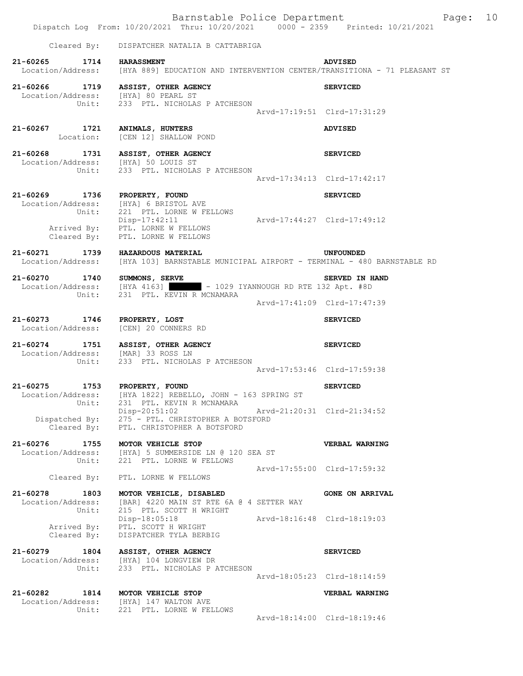|                                                | Dispatch Log From: 10/20/2021 Thru: 10/20/2021 0000 - 2359 Printed: 10/21/2021                                    |                             | Barnstable Police Department<br>Page: | 10 |
|------------------------------------------------|-------------------------------------------------------------------------------------------------------------------|-----------------------------|---------------------------------------|----|
| Cleared By:                                    | DISPATCHER NATALIA B CATTABRIGA                                                                                   |                             |                                       |    |
| 21-60265 1714                                  | <b>HARASSMENT</b><br>Location/Address: [HYA 889] EDUCATION AND INTERVENTION CENTER/TRANSITIONA - 71 PLEASANT ST   |                             | <b>ADVISED</b>                        |    |
|                                                | 21-60266 1719 ASSIST, OTHER AGENCY<br>Location/Address: [HYA] 80 PEARL ST<br>Unit: 233 PTL. NICHOLAS P ATCHESON   |                             | <b>SERVICED</b>                       |    |
|                                                |                                                                                                                   |                             | Arvd-17:19:51 Clrd-17:31:29           |    |
| 21-60267 1721 ANIMALS, HUNTERS                 | Location: [CEN 12] SHALLOW POND                                                                                   |                             | <b>ADVISED</b>                        |    |
| 21-60268                                       | 1731 ASSIST, OTHER AGENCY<br>Location/Address: [HYA] 50 LOUIS ST<br>Unit: 233 PTL. NICHOLAS P ATCHESON            |                             | <b>SERVICED</b>                       |    |
|                                                |                                                                                                                   |                             | Arvd-17:34:13 Clrd-17:42:17           |    |
| 21-60269 1736 PROPERTY, FOUND<br>Unit:         | Location/Address: [HYA] 6 BRISTOL AVE<br>221 PTL. LORNE W FELLOWS                                                 |                             | <b>SERVICED</b>                       |    |
|                                                | Disp-17:42:11 Arvd-17:44:27 Clrd-17:49:12<br>Arrived By: PTL. LORNE W FELLOWS<br>Cleared By: PTL. LORNE W FELLOWS |                             |                                       |    |
| 21-60271 1739<br>Location/Address:             | <b>HAZARDOUS MATERIAL</b><br>[HYA 103] BARNSTABLE MUNICIPAL AIRPORT - TERMINAL - 480 BARNSTABLE RD                |                             | <b>UNFOUNDED</b>                      |    |
| 21-60270 1740<br>Unit:                         | SUMMONS, SERVE<br>Location/Address: [HYA 4163] - 1029 IYANNOUGH RD RTE 132 Apt. #8D<br>231 PTL. KEVIN R MCNAMARA  |                             | SERVED IN HAND                        |    |
|                                                |                                                                                                                   |                             | Arvd-17:41:09 Clrd-17:47:39           |    |
| 21-60273 1746 PROPERTY, LOST                   | Location/Address: [CEN] 20 CONNERS RD                                                                             |                             | <b>SERVICED</b>                       |    |
| Location/Address: [MAR] 33 ROSS LN             | 21-60274 1751 ASSIST, OTHER AGENCY<br>Unit: 233 PTL. NICHOLAS P ATCHESON                                          |                             | <b>SERVICED</b>                       |    |
|                                                |                                                                                                                   |                             | Arvd-17:53:46 Clrd-17:59:38           |    |
| 21-60275 1753 PROPERTY, FOUND<br>Unit:         | Location/Address: [HYA 1822] REBELLO, JOHN - 163 SPRING ST<br>231 PTL. KEVIN R MCNAMARA                           |                             | <b>SERVICED</b>                       |    |
| Cleared By:                                    | Disp-20:51:02<br>Dispatched By: 275 - PTL. CHRISTOPHER A BOTSFORD<br>PTL. CHRISTOPHER A BOTSFORD                  |                             |                                       |    |
| 21-60276 1755                                  | MOTOR VEHICLE STOP<br>Location/Address: [HYA] 5 SUMMERSIDE LN @ 120 SEA ST<br>Unit: 221 PTL. LORNE W FELLOWS      |                             | VERBAL WARNING                        |    |
| Cleared By:                                    | PTL. LORNE W FELLOWS                                                                                              |                             | Arvd-17:55:00 Clrd-17:59:32           |    |
| 21-60278 1803<br>Location/Address:<br>Unit:    | MOTOR VEHICLE, DISABLED<br>[BAR] 4220 MAIN ST RTE 6A @ 4 SETTER WAY<br>215 PTL. SCOTT H WRIGHT                    |                             | <b>GONE ON ARRIVAL</b>                |    |
| Arrived By:<br>Cleared By:                     | Disp-18:05:18<br>PTL. SCOTT H WRIGHT<br>DISPATCHER TYLA BERBIG                                                    | Arvd-18:16:48 Clrd-18:19:03 |                                       |    |
| 21-60279 1804<br>Unit:                         | <b>ASSIST, OTHER AGENCY</b><br>Location/Address: [HYA] 104 LONGVIEW DR<br>233 PTL. NICHOLAS P ATCHESON            |                             | <b>SERVICED</b>                       |    |
|                                                |                                                                                                                   |                             | Arvd-18:05:23 Clrd-18:14:59           |    |
| 21-60282<br>1814<br>Location/Address:<br>Unit: | MOTOR VEHICLE STOP<br>[HYA] 147 WALTON AVE                                                                        |                             | VERBAL WARNING                        |    |
|                                                | 221 PTL. LORNE W FELLOWS                                                                                          |                             | Arvd-18:14:00 Clrd-18:19:46           |    |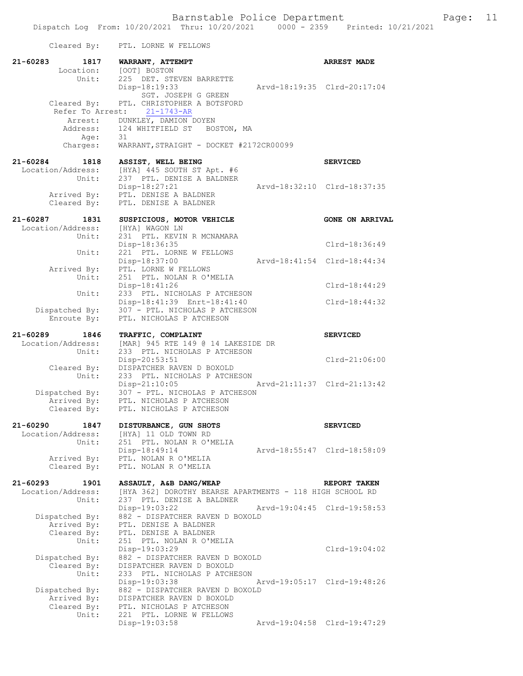| Cleared By:                                    | PTL. LORNE W FELLOWS                                                                                   |                             |
|------------------------------------------------|--------------------------------------------------------------------------------------------------------|-----------------------------|
| 21-60283<br>1817<br>Location:                  | WARRANT, ATTEMPT<br>[OOT] BOSTON                                                                       | <b>ARREST MADE</b>          |
| Unit:                                          | 225 DET. STEVEN BARRETTE<br>Disp-18:19:33<br>SGT. JOSEPH G GREEN                                       | Arvd-18:19:35 Clrd-20:17:04 |
| Cleared By:<br>Refer To Arrest:                | PTL. CHRISTOPHER A BOTSFORD<br>$21 - 1743 - AR$                                                        |                             |
| Age:                                           | Arrest: DUNKLEY, DAMION DOYEN<br>Address: 124 WHITFIELD ST<br>BOSTON, MA<br>31                         |                             |
| Charges:                                       | WARRANT, STRAIGHT - DOCKET #2172CR00099                                                                |                             |
| 21-60284<br>1818<br>Location/Address:<br>Unit: | ASSIST, WELL BEING<br>[HYA] 445 SOUTH ST Apt. #6<br>237 PTL. DENISE A BALDNER                          | <b>SERVICED</b>             |
| Arrived By:<br>Cleared By:                     | $Disp-18:27:21$<br>PTL. DENISE A BALDNER<br>PTL. DENISE A BALDNER                                      | Arvd-18:32:10 Clrd-18:37:35 |
|                                                |                                                                                                        |                             |
| 21-60287<br>1831<br>Location/Address:<br>Unit: | SUSPICIOUS, MOTOR VEHICLE<br>[HYA] WAGON LN<br>231 PTL. KEVIN R MCNAMARA                               | <b>GONE ON ARRIVAL</b>      |
| Unit:                                          | Disp-18:36:35<br>221 PTL. LORNE W FELLOWS                                                              | Clrd-18:36:49               |
| Arrived By:                                    | Disp-18:37:00<br>PTL. LORNE W FELLOWS                                                                  | Arvd-18:41:54 Clrd-18:44:34 |
| Unit:                                          | 251 PTL. NOLAN R O'MELIA<br>Disp-18:41:26                                                              | $Clrd-18:44:29$             |
| Unit:                                          | 233 PTL. NICHOLAS P ATCHESON<br>Disp-18:41:39 Enrt-18:41:40                                            | $Clrd-18:44:32$             |
| Dispatched By:<br>Enroute By:                  | 307 - PTL. NICHOLAS P ATCHESON<br>PTL. NICHOLAS P ATCHESON                                             |                             |
| 21-60289<br>1846                               | TRAFFIC, COMPLAINT                                                                                     | <b>SERVICED</b>             |
| Location/Address:<br>Unit:                     | [MAR] 945 RTE 149 @ 14 LAKESIDE DR<br>233 PTL. NICHOLAS P ATCHESON<br>Disp-20:53:51                    | Clrd-21:06:00               |
| Cleared By:<br>Unit:                           | DISPATCHER RAVEN D BOXOLD<br>233 PTL. NICHOLAS P ATCHESON                                              |                             |
| Dispatched By:                                 | Disp-21:10:05<br>307 - PTL. NICHOLAS P ATCHESON                                                        | Arvd-21:11:37 Clrd-21:13:42 |
| Arrived By:<br>Cleared By:                     | PTL. NICHOLAS P ATCHESON<br>PTL. NICHOLAS P ATCHESON                                                   |                             |
| 21-60290<br>1847                               | DISTURBANCE, GUN SHOTS                                                                                 | <b>SERVICED</b>             |
| Location/Address:<br>Unit:                     | [HYA] 11 OLD TOWN RD<br>251 PTL. NOLAN R O'MELIA                                                       |                             |
| Arrived By:                                    | Disp-18:49:14<br>PTL. NOLAN R O'MELIA                                                                  | Arvd-18:55:47 Clrd-18:58:09 |
| Cleared By:                                    | PTL. NOLAN R O'MELIA                                                                                   |                             |
| 21-60293<br>1901                               | ASSAULT, A&B DANG/WEAP                                                                                 | REPORT TAKEN                |
| Location/Address:<br>Unit:                     | [HYA 362] DOROTHY BEARSE APARTMENTS - 118 HIGH SCHOOL RD<br>237 PTL. DENISE A BALDNER<br>Disp-19:03:22 | Arvd-19:04:45 Clrd-19:58:53 |
| Dispatched By:                                 | 882 - DISPATCHER RAVEN D BOXOLD                                                                        |                             |
| Arrived By:<br>Cleared By:<br>Unit:            | PTL. DENISE A BALDNER<br>PTL. DENISE A BALDNER<br>251 PTL. NOLAN R O'MELIA                             |                             |
| Dispatched By:<br>Cleared By:                  | Disp-19:03:29<br>882 - DISPATCHER RAVEN D BOXOLD<br>DISPATCHER RAVEN D BOXOLD                          | $Clrd-19:04:02$             |
| Unit:                                          | 233 PTL. NICHOLAS P ATCHESON<br>Disp-19:03:38                                                          | Arvd-19:05:17 Clrd-19:48:26 |
| Dispatched By:<br>Arrived By:<br>Cleared By:   | 882 - DISPATCHER RAVEN D BOXOLD<br>DISPATCHER RAVEN D BOXOLD<br>PTL. NICHOLAS P ATCHESON               |                             |
| Unit:                                          | 221 PTL. LORNE W FELLOWS<br>Disp-19:03:58                                                              | Arvd-19:04:58 Clrd-19:47:29 |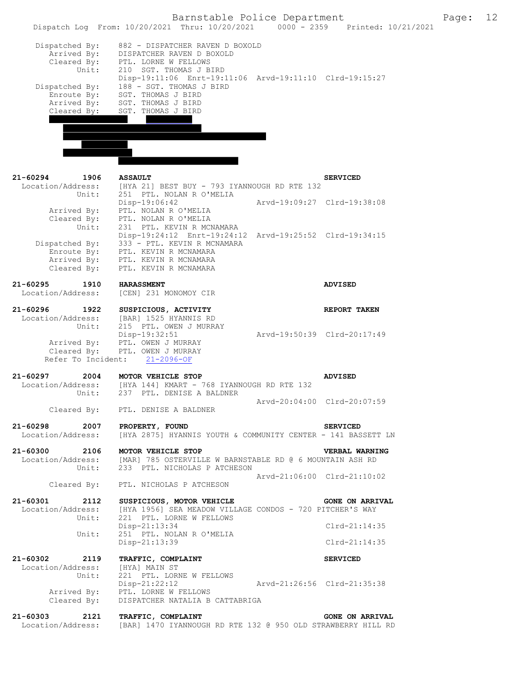|                                                    | Barnstable Police Department<br>Dispatch Log From: 10/20/2021 Thru: 10/20/2021 0000 - 2359 Printed: 10/21/2021 |                             | Page: | 12 |
|----------------------------------------------------|----------------------------------------------------------------------------------------------------------------|-----------------------------|-------|----|
|                                                    |                                                                                                                |                             |       |    |
| Dispatched By:                                     | 882 - DISPATCHER RAVEN D BOXOLD                                                                                |                             |       |    |
| Arrived By:                                        | DISPATCHER RAVEN D BOXOLD                                                                                      |                             |       |    |
| Cleared $\vec{By}$ :                               | PTL. LORNE W FELLOWS                                                                                           |                             |       |    |
| Unit:                                              | 210 SGT. THOMAS J BIRD                                                                                         |                             |       |    |
|                                                    | Disp-19:11:06 Enrt-19:11:06 Arvd-19:11:10 Clrd-19:15:27                                                        |                             |       |    |
| Dispatched By:                                     | 188 - SGT. THOMAS J BIRD                                                                                       |                             |       |    |
| Enroute By:                                        | SGT. THOMAS J BIRD                                                                                             |                             |       |    |
| Arrived By:                                        | SGT. THOMAS J BIRD                                                                                             |                             |       |    |
| Cleared By:                                        | SGT. THOMAS J BIRD                                                                                             |                             |       |    |
|                                                    |                                                                                                                |                             |       |    |
|                                                    |                                                                                                                |                             |       |    |
|                                                    |                                                                                                                |                             |       |    |
|                                                    |                                                                                                                |                             |       |    |
|                                                    |                                                                                                                |                             |       |    |
| 21-60294<br>1906                                   |                                                                                                                |                             |       |    |
| Location/Address:                                  | <b>ASSAULT</b><br>[HYA 21] BEST BUY - 793 IYANNOUGH RD RTE 132                                                 | <b>SERVICED</b>             |       |    |
| Unit:                                              | 251 PTL. NOLAN R O'MELIA                                                                                       |                             |       |    |
|                                                    | Disp-19:06:42                                                                                                  | Arvd-19:09:27 Clrd-19:38:08 |       |    |
| Arrived By:                                        | PTL. NOLAN R O'MELIA                                                                                           |                             |       |    |
| Cleared By:                                        | PTL. NOLAN R O'MELIA                                                                                           |                             |       |    |
| Unit:                                              | 231 PTL. KEVIN R MCNAMARA                                                                                      |                             |       |    |
|                                                    | Disp-19:24:12 Enrt-19:24:12 Arvd-19:25:52 Clrd-19:34:15                                                        |                             |       |    |
| Dispatched By:                                     | 333 - PTL. KEVIN R MCNAMARA                                                                                    |                             |       |    |
| Enroute By:                                        | PTL. KEVIN R MCNAMARA                                                                                          |                             |       |    |
| Arrived By:                                        | PTL. KEVIN R MCNAMARA                                                                                          |                             |       |    |
| Cleared By:                                        | PTL. KEVIN R MCNAMARA                                                                                          |                             |       |    |
| 21-60295<br>1910                                   | <b>HARASSMENT</b>                                                                                              | ADVISED                     |       |    |
| Location/Address:                                  | [CEN] 231 MONOMOY CIR                                                                                          |                             |       |    |
|                                                    |                                                                                                                |                             |       |    |
| 21-60296<br>1922                                   | SUSPICIOUS, ACTIVITY                                                                                           | REPORT TAKEN                |       |    |
| Location/Address:                                  | [BAR] 1525 HYANNIS RD                                                                                          |                             |       |    |
| Unit:                                              | 215 PTL. OWEN J MURRAY                                                                                         |                             |       |    |
| Arrived By:                                        | Disp-19:32:51<br>PTL. OWEN J MURRAY                                                                            | Arvd-19:50:39 Clrd-20:17:49 |       |    |
| Cleared By:                                        | PTL. OWEN J MURRAY                                                                                             |                             |       |    |
| Refer To Incident:                                 | $21 - 2096 - OF$                                                                                               |                             |       |    |
|                                                    |                                                                                                                |                             |       |    |
| 21-60297<br>2004                                   | MOTOR VEHICLE STOP                                                                                             | <b>ADVISED</b>              |       |    |
| Location/Address:                                  | [HYA 144] KMART - 768 IYANNOUGH RD RTE 132                                                                     |                             |       |    |
| Unit:                                              | 237 PTL. DENISE A BALDNER                                                                                      |                             |       |    |
|                                                    |                                                                                                                | Arvd-20:04:00 Clrd-20:07:59 |       |    |
|                                                    | Cleared By: PTL. DENISE A BALDNER                                                                              |                             |       |    |
|                                                    |                                                                                                                |                             |       |    |
| 21-60298 2007 PROPERTY, FOUND<br>Location/Address: |                                                                                                                | <b>SERVICED</b>             |       |    |
|                                                    | [HYA 2875] HYANNIS YOUTH & COMMUNITY CENTER - 141 BASSETT LN                                                   |                             |       |    |
| 21-60300 2106 MOTOR VEHICLE STOP                   |                                                                                                                | VERBAL WARNING              |       |    |
|                                                    | Location/Address: [MAR] 785 OSTERVILLE W BARNSTABLE RD @ 6 MOUNTAIN ASH RD                                     |                             |       |    |
| Unit:                                              | 233 PTL. NICHOLAS P ATCHESON                                                                                   |                             |       |    |
|                                                    |                                                                                                                | Arvd-21:06:00 Clrd-21:10:02 |       |    |
|                                                    | Cleared By: PTL. NICHOLAS P ATCHESON                                                                           |                             |       |    |
|                                                    | 21-60301 2112 SUSPICIOUS, MOTOR VEHICLE                                                                        | <b>GONE ON ARRIVAL</b>      |       |    |
| Location/Address:                                  | [HYA 1956] SEA MEADOW VILLAGE CONDOS - 720 PITCHER'S WAY                                                       |                             |       |    |
| Unit:                                              | 221 PTL. LORNE W FELLOWS                                                                                       |                             |       |    |
|                                                    | $Disp-21:13:34$                                                                                                | $Clrd-21:14:35$             |       |    |
| Unit:                                              | 251 PTL. NOLAN R O'MELIA                                                                                       |                             |       |    |
|                                                    | Disp-21:13:39                                                                                                  | $Clrd-21:14:35$             |       |    |
|                                                    |                                                                                                                |                             |       |    |
| 21-60302 2119                                      | TRAFFIC, COMPLAINT                                                                                             | <b>SERVICED</b>             |       |    |
| Location/Address:                                  | [HYA] MAIN ST                                                                                                  |                             |       |    |
| Unit:                                              | 221 PTL. LORNE W FELLOWS                                                                                       |                             |       |    |
|                                                    | Disp-21:22:12 Arvd-21:26:56 Clrd-21:35:38                                                                      |                             |       |    |
|                                                    | Arrived By: PTL. LORNE W FELLOWS                                                                               |                             |       |    |
| Cleared By:                                        | DISPATCHER NATALIA B CATTABRIGA                                                                                |                             |       |    |
| 21-60303<br>2121                                   | TRAFFIC, COMPLAINT                                                                                             | <b>GONE ON ARRIVAL</b>      |       |    |
|                                                    | Location/Address: [BAR] 1470 IYANNOUGH RD RTE 132 @ 950 OLD STRAWBERRY HILL RD                                 |                             |       |    |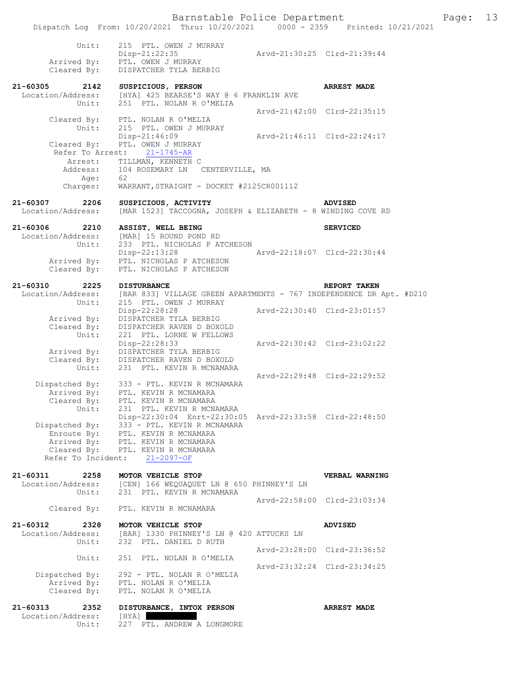|                                              | Dispatch Log From: 10/20/2021 Thru: 10/20/2021 0000 - 2359                                                                               |                             | Printed: 10/21/2021         |
|----------------------------------------------|------------------------------------------------------------------------------------------------------------------------------------------|-----------------------------|-----------------------------|
| Unit:                                        | 215 PTL. OWEN J MURRAY<br>$Disp-21:22:35$                                                                                                |                             | Arvd-21:30:25 Clrd-21:39:44 |
| Arrived By:<br>Cleared By:                   | PTL. OWEN J MURRAY<br>DISPATCHER TYLA BERBIG                                                                                             |                             |                             |
| 21-60305<br>2142<br>Location/Address:        | SUSPICIOUS, PERSON<br>[HYA] 425 BEARSE'S WAY @ 6 FRANKLIN AVE                                                                            |                             | <b>ARREST MADE</b>          |
| Unit:                                        | 251 PTL. NOLAN R O'MELIA                                                                                                                 |                             | Arvd-21:42:00 Clrd-22:35:15 |
| Unit:                                        | Cleared By: PTL. NOLAN R O'MELIA<br>215 PTL. OWEN J MURRAY<br>$Disp-21:46:09$                                                            |                             | Arvd-21:46:11 Clrd-22:24:17 |
| Cleared By:<br>Refer To Arrest:<br>Arrest:   | PTL. OWEN J MURRAY<br>$21 - 1745 - AR$<br>TILLMAN, KENNETH C                                                                             |                             |                             |
| Address:<br>Age:                             | 104 ROSEMARY LN CENTERVILLE, MA<br>62                                                                                                    |                             |                             |
| Charges:                                     | WARRANT, STRAIGHT - DOCKET #2125CR001112                                                                                                 |                             |                             |
| $21 - 60307$<br>2206<br>Location/Address:    | SUSPICIOUS, ACTIVITY<br>[MAR 1523] TACCOGNA, JOSEPH & ELIZABETH - 8 WINDING COVE RD                                                      |                             | <b>ADVISED</b>              |
| $21 - 60306$<br>2210<br>Location/Address:    | ASSIST, WELL BEING<br>[MAR] 15 ROUND POND RD                                                                                             |                             | <b>SERVICED</b>             |
| Unit:                                        | 233 PTL. NICHOLAS P ATCHESON<br>Disp-22:13:28<br>Arrived By: PTL. NICHOLAS P ATCHESON                                                    | Arvd-22:18:07 Clrd-22:30:44 |                             |
| Cleared By:                                  | PTL. NICHOLAS P ATCHESON                                                                                                                 |                             |                             |
| $21 - 60310$<br>2225<br>Location/Address:    | <b>DISTURBANCE</b><br>[BAR 833] VILLAGE GREEN APARTMENTS - 767 INDEPENDENCE DR Apt. #D210                                                |                             | REPORT TAKEN                |
| Unit:                                        | 215 PTL. OWEN J MURRAY<br>Disp-22:28:28                                                                                                  |                             | Arvd-22:30:40 Clrd-23:01:57 |
| Arrived By:<br>Cleared By:<br>Unit:          | DISPATCHER TYLA BERBIG<br>DISPATCHER RAVEN D BOXOLD<br>221 PTL. LORNE W FELLOWS                                                          |                             |                             |
|                                              | Disp-22:28:33<br>Arrived By: DISPATCHER TYLA BERBIG<br>Cleared By: DISPATCHER RAVEN D BOXOLD                                             |                             | Arvd-22:30:42 Clrd-23:02:22 |
| Unit:                                        | 231 PTL. KEVIN R MCNAMARA                                                                                                                |                             | Arvd-22:29:48 Clrd-22:29:52 |
| Cleared By:<br>Unit:                         | Dispatched By: 333 - PTL. KEVIN R MCNAMARA<br>Arrived By: PTL. KEVIN R MCNAMARA<br>PTL. KEVIN R MCNAMARA<br>231 PTL. KEVIN R MCNAMARA    |                             |                             |
| Dispatched By:<br>Enroute By:<br>Arrived By: | Disp-22:30:04 Enrt-22:30:05 Arvd-22:33:58 Clrd-22:48:50<br>333 - PTL. KEVIN R MCNAMARA<br>PTL. KEVIN R MCNAMARA<br>PTL. KEVIN R MCNAMARA |                             |                             |
| Refer To Incident:                           | Cleared By: PTL. KEVIN R MCNAMARA<br>$21 - 2097 - OF$                                                                                    |                             |                             |
| 21-60311<br>2258<br>Location/Address:        | MOTOR VEHICLE STOP<br>[CEN] 166 WEOUAQUET LN @ 650 PHINNEY'S LN                                                                          |                             | VERBAL WARNING              |
| Unit:<br>Cleared By:                         | 231 PTL. KEVIN R MCNAMARA<br>PTL. KEVIN R MCNAMARA                                                                                       |                             | Arvd-22:58:00 Clrd-23:03:34 |
| $21 - 60312$<br>2328                         | MOTOR VEHICLE STOP                                                                                                                       |                             | <b>ADVISED</b>              |
| Location/Address:<br>Unit:                   | [BAR] 1330 PHINNEY'S LN @ 420 ATTUCKS LN<br>232 PTL. DANIEL D RUTH                                                                       |                             |                             |
| Unit:                                        | 251 PTL. NOLAN R O'MELIA                                                                                                                 |                             | Arvd-23:28:00 Clrd-23:36:52 |
| Dispatched By:<br>Arrived By:<br>Cleared By: | 292 - PTL. NOLAN R O'MELIA<br>PTL. NOLAN R O'MELIA<br>PTL. NOLAN R O'MELIA                                                               |                             | Arvd-23:32:24 Clrd-23:34:25 |
| $21 - 60313$<br>2352                         | DISTURBANCE, INTOX PERSON                                                                                                                |                             | <b>ARREST MADE</b>          |
| Location/Address:<br>Unit:                   | [HYA]<br>227 PTL. ANDREW A LONGMORE                                                                                                      |                             |                             |